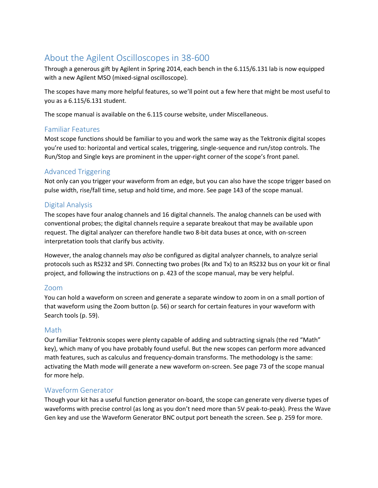# About the Agilent Oscilloscopes in 38-600

Through a generous gift by Agilent in Spring 2014, each bench in the 6.115/6.131 lab is now equipped with a new Agilent MSO (mixed-signal oscilloscope).

The scopes have many more helpful features, so we'll point out a few here that might be most useful to you as a 6.115/6.131 student.

The scope manual is available on the 6.115 course website, under Miscellaneous.

#### Familiar Features

Most scope functions should be familiar to you and work the same way as the Tektronix digital scopes you're used to: horizontal and vertical scales, triggering, single-sequence and run/stop controls. The Run/Stop and Single keys are prominent in the upper-right corner of the scope's front panel.

## Advanced Triggering

Not only can you trigger your waveform from an edge, but you can also have the scope trigger based on pulse width, rise/fall time, setup and hold time, and more. See page 143 of the scope manual.

## Digital Analysis

The scopes have four analog channels and 16 digital channels. The analog channels can be used with conventional probes; the digital channels require a separate breakout that may be available upon request. The digital analyzer can therefore handle two 8-bit data buses at once, with on-screen interpretation tools that clarify bus activity.

However, the analog channels may *also* be configured as digital analyzer channels, to analyze serial protocols such as RS232 and SPI. Connecting two probes (Rx and Tx) to an RS232 bus on your kit or final project, and following the instructions on p. 423 of the scope manual, may be very helpful.

#### Zoom

You can hold a waveform on screen and generate a separate window to zoom in on a small portion of that waveform using the Zoom button (p. 56) or search for certain features in your waveform with Search tools (p. 59).

#### Math

Our familiar Tektronix scopes were plenty capable of adding and subtracting signals (the red "Math" key), which many of you have probably found useful. But the new scopes can perform more advanced math features, such as calculus and frequency-domain transforms. The methodology is the same: activating the Math mode will generate a new waveform on-screen. See page 73 of the scope manual for more help.

# Waveform Generator

Though your kit has a useful function generator on-board, the scope can generate very diverse types of waveforms with precise control (as long as you don't need more than 5V peak-to-peak). Press the Wave Gen key and use the Waveform Generator BNC output port beneath the screen. See p. 259 for more.